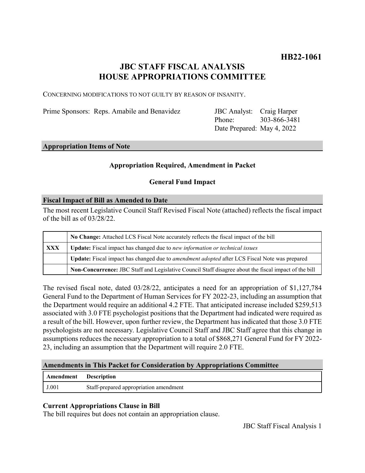# **JBC STAFF FISCAL ANALYSIS HOUSE APPROPRIATIONS COMMITTEE**

CONCERNING MODIFICATIONS TO NOT GUILTY BY REASON OF INSANITY.

Prime Sponsors: Reps. Amabile and Benavidez

Phone: Date Prepared: May 4, 2022 JBC Analyst: Craig Harper 303-866-3481

### **Appropriation Items of Note**

# **Appropriation Required, Amendment in Packet**

# **General Fund Impact**

### **Fiscal Impact of Bill as Amended to Date**

The most recent Legislative Council Staff Revised Fiscal Note (attached) reflects the fiscal impact of the bill as of 03/28/22.

|     | No Change: Attached LCS Fiscal Note accurately reflects the fiscal impact of the bill                 |
|-----|-------------------------------------------------------------------------------------------------------|
| XXX | <b>Update:</b> Fiscal impact has changed due to new information or technical issues                   |
|     | Update: Fiscal impact has changed due to <i>amendment adopted</i> after LCS Fiscal Note was prepared  |
|     | Non-Concurrence: JBC Staff and Legislative Council Staff disagree about the fiscal impact of the bill |

The revised fiscal note, dated 03/28/22, anticipates a need for an appropriation of \$1,127,784 General Fund to the Department of Human Services for FY 2022-23, including an assumption that the Department would require an additional 4.2 FTE. That anticipated increase included \$259,513 associated with 3.0 FTE psychologist positions that the Department had indicated were required as a result of the bill. However, upon further review, the Department has indicated that those 3.0 FTE psychologists are not necessary. Legislative Council Staff and JBC Staff agree that this change in assumptions reduces the necessary appropriation to a total of \$868,271 General Fund for FY 2022- 23, including an assumption that the Department will require 2.0 FTE.

#### **Amendments in This Packet for Consideration by Appropriations Committee**

| <b>Amendment</b> Description |                                        |
|------------------------------|----------------------------------------|
| J.001                        | Staff-prepared appropriation amendment |

# **Current Appropriations Clause in Bill**

The bill requires but does not contain an appropriation clause.